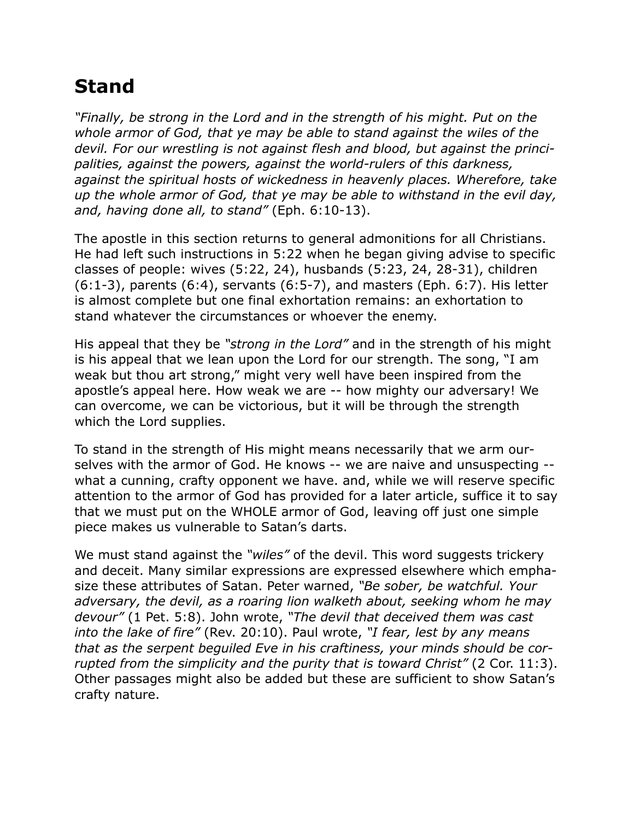## **Stand**

*"Finally, be strong in the Lord and in the strength of his might. Put on the whole armor of God, that ye may be able to stand against the wiles of the devil. For our wrestling is not against flesh and blood, but against the principalities, against the powers, against the world-rulers of this darkness, against the spiritual hosts of wickedness in heavenly places. Wherefore, take up the whole armor of God, that ye may be able to withstand in the evil day, and, having done all, to stand"* (Eph. 6:10-13).

The apostle in this section returns to general admonitions for all Christians. He had left such instructions in 5:22 when he began giving advise to specific classes of people: wives (5:22, 24), husbands (5:23, 24, 28-31), children  $(6:1-3)$ , parents  $(6:4)$ , servants  $(6:5-7)$ , and masters (Eph. 6:7). His letter is almost complete but one final exhortation remains: an exhortation to stand whatever the circumstances or whoever the enemy.

His appeal that they be *"strong in the Lord"* and in the strength of his might is his appeal that we lean upon the Lord for our strength. The song, "I am weak but thou art strong," might very well have been inspired from the apostle's appeal here. How weak we are -- how mighty our adversary! We can overcome, we can be victorious, but it will be through the strength which the Lord supplies.

To stand in the strength of His might means necessarily that we arm ourselves with the armor of God. He knows -- we are naive and unsuspecting - what a cunning, crafty opponent we have. and, while we will reserve specific attention to the armor of God has provided for a later article, suffice it to say that we must put on the WHOLE armor of God, leaving off just one simple piece makes us vulnerable to Satan's darts.

We must stand against the *"wiles"* of the devil. This word suggests trickery and deceit. Many similar expressions are expressed elsewhere which emphasize these attributes of Satan. Peter warned, *"Be sober, be watchful. Your adversary, the devil, as a roaring lion walketh about, seeking whom he may devour"* (1 Pet. 5:8). John wrote, *"The devil that deceived them was cast into the lake of fire"* (Rev. 20:10). Paul wrote, *"I fear, lest by any means that as the serpent beguiled Eve in his craftiness, your minds should be corrupted from the simplicity and the purity that is toward Christ"* (2 Cor. 11:3). Other passages might also be added but these are sufficient to show Satan's crafty nature.